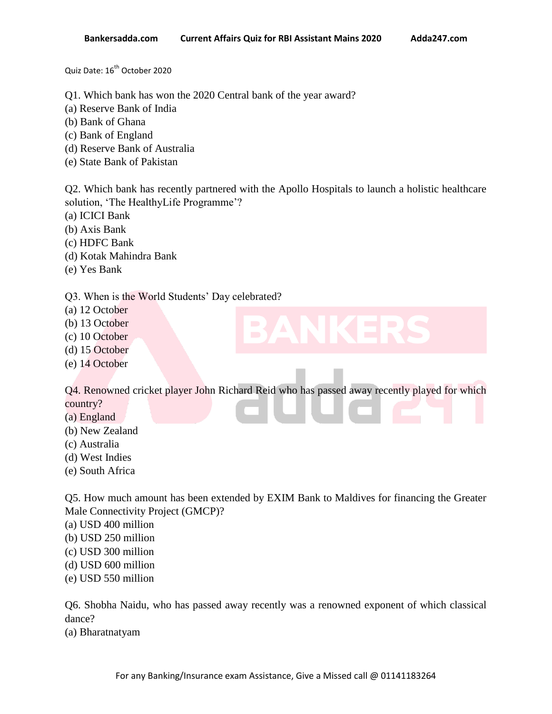Quiz Date: 16<sup>th</sup> October 2020

Q1. Which bank has won the 2020 Central bank of the year award?

- (a) Reserve Bank of India
- (b) Bank of Ghana
- (c) Bank of England
- (d) Reserve Bank of Australia
- (e) State Bank of Pakistan

Q2. Which bank has recently partnered with the Apollo Hospitals to launch a holistic healthcare solution, 'The HealthyLife Programme'?

- (a) ICICI Bank
- (b) Axis Bank
- (c) HDFC Bank
- (d) Kotak Mahindra Bank
- (e) Yes Bank

Q3. When is the World Students" Day celebrated?

- (a) 12 October
- (b) 13 October
- (c) 10 October
- (d) 15 October
- (e) 14 October

Q4. Renowned cricket player John Richard Reid who has passed away recently played for which country?

- (a) England
- (b) New Zealand
- (c) Australia
- (d) West Indies
- (e) South Africa

Q5. How much amount has been extended by EXIM Bank to Maldives for financing the Greater Male Connectivity Project (GMCP)?

- (a) USD 400 million
- (b) USD 250 million
- (c) USD 300 million
- (d) USD 600 million
- (e) USD 550 million

Q6. Shobha Naidu, who has passed away recently was a renowned exponent of which classical dance?

(a) Bharatnatyam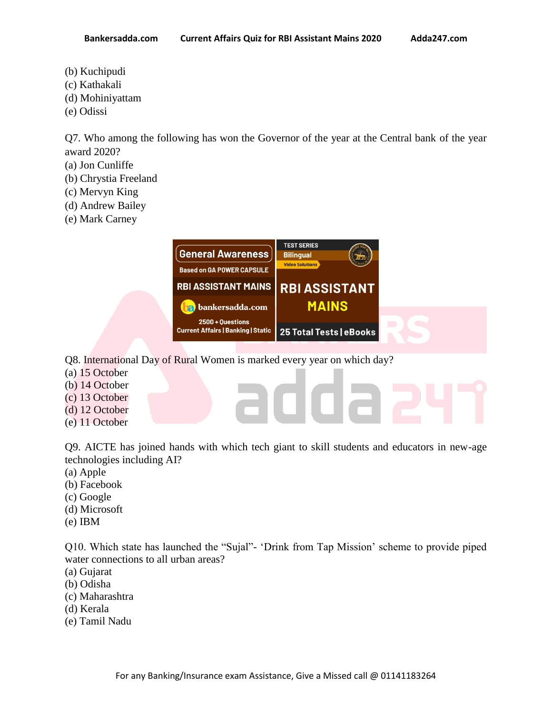- (b) Kuchipudi
- (c) Kathakali
- (d) Mohiniyattam
- (e) Odissi

Q7. Who among the following has won the Governor of the year at the Central bank of the year award 2020?

- (a) Jon Cunliffe
- (b) Chrystia Freeland
- (c) Mervyn King
- (d) Andrew Bailey
- (e) Mark Carney



Q8. International Day of Rural Women is marked every year on which day?

- (a) 15 October
- (b) 14 October
- (c) 13 October
- (d) 12 October
- (e) 11 October

Q9. AICTE has joined hands with which tech giant to skill students and educators in new-age technologies including AI?

- (a) Apple
- (b) Facebook
- (c) Google
- (d) Microsoft
- (e) IBM

Q10. Which state has launched the "Sujal"- "Drink from Tap Mission" scheme to provide piped water connections to all urban areas?

- (a) Gujarat
- (b) Odisha
- (c) Maharashtra
- (d) Kerala
- (e) Tamil Nadu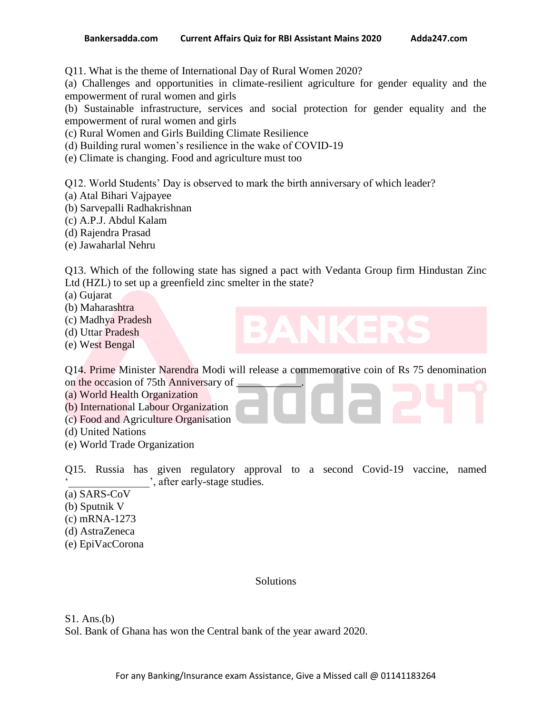Q11. What is the theme of International Day of Rural Women 2020?

(a) Challenges and opportunities in climate-resilient agriculture for gender equality and the empowerment of rural women and girls

(b) Sustainable infrastructure, services and social protection for gender equality and the empowerment of rural women and girls

(c) Rural Women and Girls Building Climate Resilience

(d) Building rural women"s resilience in the wake of COVID-19

(e) Climate is changing. Food and agriculture must too

Q12. World Students" Day is observed to mark the birth anniversary of which leader?

- (a) Atal Bihari Vajpayee
- (b) Sarvepalli Radhakrishnan
- (c) A.P.J. Abdul Kalam
- (d) Rajendra Prasad
- (e) Jawaharlal Nehru

Q13. Which of the following state has signed a pact with Vedanta Group firm Hindustan Zinc Ltd (HZL) to set up a greenfield zinc smelter in the state?

- (a) Gujarat
- (b) Maharashtra
- (c) Madhya Pradesh
- (d) Uttar Pradesh
- (e) West Bengal

Q14. Prime Minister Narendra Modi will release a commemorative coin of Rs 75 denomination on the occasion of 75th Anniversary of

- (a) World Health Organization
- (b) International Labour Organization
- (c) Food and Agriculture Organisation
- (d) United Nations
- (e) World Trade Organization

Q15. Russia has given regulatory approval to a second Covid-19 vaccine, named  $'$ , after early-stage studies.

(a) SARS-CoV

- (b) Sputnik V
- (c) mRNA-1273
- (d) AstraZeneca
- (e) EpiVacCorona

# **Solutions**

#### S1. Ans.(b)

Sol. Bank of Ghana has won the Central bank of the year award 2020.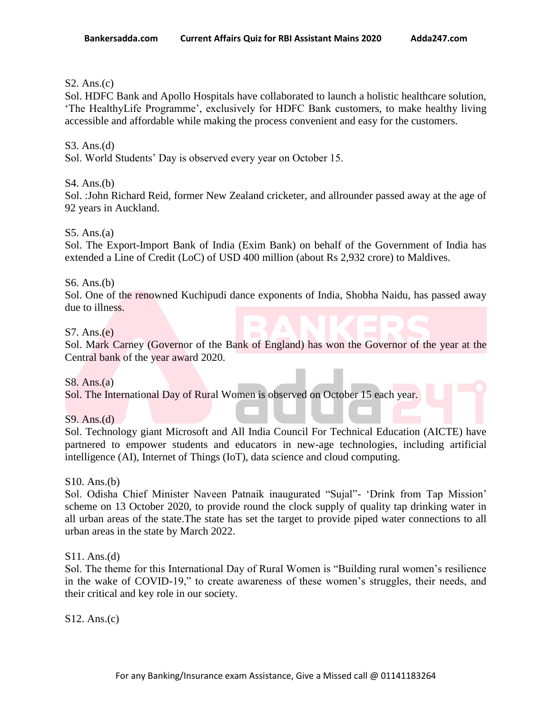## S2. Ans. $(c)$

Sol. HDFC Bank and Apollo Hospitals have collaborated to launch a holistic healthcare solution, 'The HealthyLife Programme', exclusively for HDFC Bank customers, to make healthy living accessible and affordable while making the process convenient and easy for the customers.

# S3. Ans.(d)

Sol. World Students" Day is observed every year on October 15.

### S4. Ans.(b)

Sol. :John Richard Reid, former New Zealand cricketer, and allrounder passed away at the age of 92 years in Auckland.

### S5. Ans.(a)

Sol. The Export-Import Bank of India (Exim Bank) on behalf of the Government of India has extended a Line of Credit (LoC) of USD 400 million (about Rs 2,932 crore) to Maldives.

## S6. Ans.(b)

Sol. One of the renowned Kuchipudi dance exponents of India, Shobha Naidu, has passed away due to illness.

#### S7. Ans.(e)

Sol. Mark Carney (Governor of the Bank of England) has won the Governor of the year at the Central bank of the year award 2020.

S8. Ans.(a)

Sol. The International Day of Rural Women is observed on October 15 each year.

S9. Ans.(d)

Sol. Technology giant Microsoft and All India Council For Technical Education (AICTE) have partnered to empower students and educators in new-age technologies, including artificial intelligence (AI), Internet of Things (IoT), data science and cloud computing.

S10. Ans.(b)

Sol. Odisha Chief Minister Naveen Patnaik inaugurated "Sujal"- "Drink from Tap Mission" scheme on 13 October 2020, to provide round the clock supply of quality tap drinking water in all urban areas of the state.The state has set the target to provide piped water connections to all urban areas in the state by March 2022.

S11. Ans.(d)

Sol. The theme for this International Day of Rural Women is "Building rural women's resilience in the wake of COVID-19," to create awareness of these women"s struggles, their needs, and their critical and key role in our society.

S12. Ans.(c)